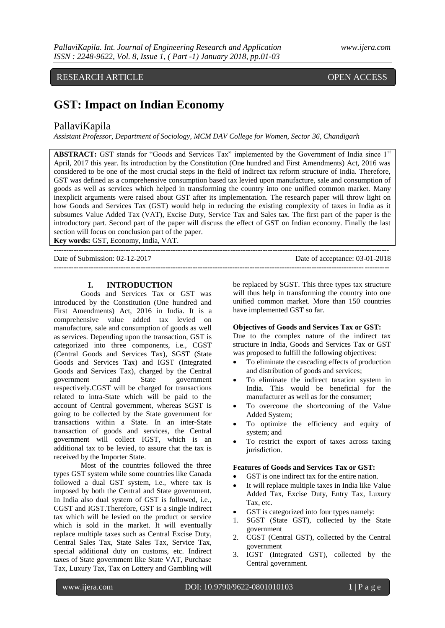## RESEARCH ARTICLE OPEN ACCESS

# **GST: Impact on Indian Economy**

## PallaviKapila

*Assistant Professor, Department of Sociology, MCM DAV College for Women, Sector 36, Chandigarh*

**ABSTRACT:** GST stands for "Goods and Services Tax" implemented by the Government of India since 1<sup>st</sup> April, 2017 this year. Its introduction by the Constitution (One hundred and First Amendments) Act, 2016 was considered to be one of the most crucial steps in the field of indirect tax reform structure of India. Therefore, GST was defined as a comprehensive consumption based tax levied upon manufacture, sale and consumption of goods as well as services which helped in transforming the country into one unified common market. Many inexplicit arguments were raised about GST after its implementation. The research paper will throw light on how Goods and Services Tax (GST) would help in reducing the existing complexity of taxes in India as it subsumes Value Added Tax (VAT), Excise Duty, Service Tax and Sales tax. The first part of the paper is the introductory part. Second part of the paper will discuss the effect of GST on Indian economy. Finally the last section will focus on conclusion part of the paper.

**---------------------------------------------------------------------------------------------------------------------------------------**

**---------------------------------------------------------------------------------------------------------------------------------------**

**Key words:** GST, Economy, India, VAT.

Date of Submission: 02-12-2017 Date of acceptance: 03-01-2018

## **I. INTRODUCTION**

Goods and Services Tax or GST was introduced by the Constitution (One hundred and First Amendments) Act, 2016 in India. It is a comprehensive value added tax levied on manufacture, sale and consumption of goods as well as services. Depending upon the transaction, GST is categorized into three components, i.e., CGST (Central Goods and Services Tax), SGST (State Goods and Services Tax) and IGST (Integrated Goods and Services Tax), charged by the Central government and State government respectively.CGST will be charged for transactions related to intra-State which will be paid to the account of Central government, whereas SGST is going to be collected by the State government for transactions within a State. In an inter-State transaction of goods and services, the Central government will collect IGST, which is an additional tax to be levied, to assure that the tax is received by the Importer State.

Most of the countries followed the three types GST system while some countries like Canada followed a dual GST system, i.e., where tax is imposed by both the Central and State government. In India also dual system of GST is followed, i.e., CGST and IGST.Therefore, GST is a single indirect tax which will be levied on the product or service which is sold in the market. It will eventually replace multiple taxes such as Central Excise Duty, Central Sales Tax, State Sales Tax, Service Tax, special additional duty on customs, etc. Indirect taxes of State government like State VAT, Purchase Tax, Luxury Tax, Tax on Lottery and Gambling will be replaced by SGST. This three types tax structure will thus help in transforming the country into one unified common market. More than 150 countries have implemented GST so far.

## **Objectives of Goods and Services Tax or GST:**

Due to the complex nature of the indirect tax structure in India, Goods and Services Tax or GST was proposed to fulfill the following objectives:

- To eliminate the cascading effects of production and distribution of goods and services;
- To eliminate the indirect taxation system in India. This would be beneficial for the manufacturer as well as for the consumer;
- To overcome the shortcoming of the Value Added System;
- To optimize the efficiency and equity of system; and
- To restrict the export of taxes across taxing jurisdiction.

#### **Features of Goods and Services Tax or GST:**

- GST is one indirect tax for the entire nation.
- It will replace multiple taxes in India like Value Added Tax, Excise Duty, Entry Tax, Luxury Tax, etc.
- GST is categorized into four types namely:
- 1. SGST (State GST), collected by the State government
- 2. CGST (Central GST), collected by the Central government
- 3. IGST (Integrated GST), collected by the Central government.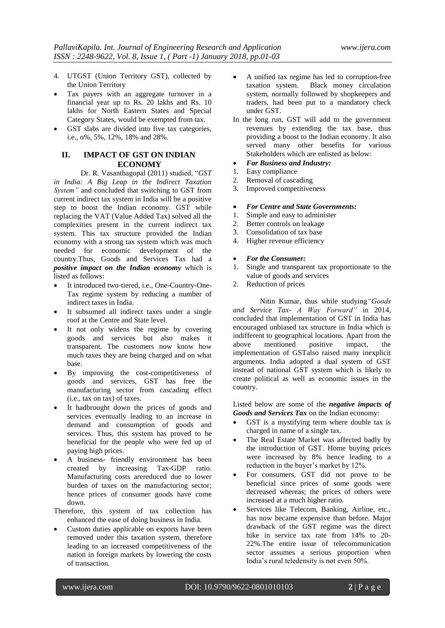- 4. UTGST (Union Territory GST), collected by the Union Territory
- Tax payers with an aggregate turnover in a financial year up to Rs. 20 lakhs and Rs. 10 lakhs for North Eastern States and Special Category States, would be exempted from tax.
- GST slabs are divided into five tax categories, i.e., o%, 5%, 12%, 18% and 28%.

## **II. IMPACT OF GST ON INDIAN ECONOMY**

Dr. R. Vasanthagopal (2011) studied, "*GST in India: A Big Leap in the Indirect Taxation System"* and concluded that switching to GST from current indirect tax system in India will be a positive step to boost the Indian economy. GST while replacing the VAT (Value Added Tax) solved all the complexities present in the current indirect tax system. This tax structure provided the Indian economy with a strong tax system which was much needed for economic development of the country.Thus, Goods and Services Tax had a *positive impact on the Indian economy* which is listed as follows:

- It introduced two-tiered, i.e., One-Country-One-Tax regime system by reducing a number of indirect taxes in India.
- It subsumed all indirect taxes under a single roof at the Centre and State level.
- It not only widens the regime by covering goods and services but also makes it transparent. The customers now know how much taxes they are being charged and on what base.
- By improving the cost-competitiveness of goods and services, GST has free the manufacturing sector from cascading effect (i.e., tax on tax) of taxes.
- It hadbrought down the prices of goods and services eventually leading to an increase in demand and consumption of goods and services. Thus, this system has proved to be beneficial for the people who were fed up of paying high prices.
- A business- friendly environment has been created by increasing Tax-GDP ratio. Manufacturing costs arereduced due to lower burden of taxes on the manufacturing sector; hence prices of consumer goods have come down.

Therefore, this system of tax collection has enhanced the ease of doing business in India.

 Custom duties applicable on exports have been removed under this taxation system, therefore leading to an increased competitiveness of the nation in foreign markets by lowering the costs of transaction.

- A unified tax regime has led to corruption-free taxation system. Black money circulation system, normally followed by shopkeepers and traders, had been put to a mandatory check under GST.
- In the long run, GST will add to the government revenues by extending the tax base, thus providing a boost to the Indian economy. It also served many other benefits for various Stakeholders which are enlisted as below:

### *For Business and Industry:*

- 1. Easy compliance
- 2. Removal of cascading
- 3. Improved competitiveness
- *For Centre and State Governments:*
- 1. Simple and easy to administer
- 2. Better controls on leakage
- 3. Consolidation of tax base
- 4. Higher revenue efficiency

## *For the Consumer:*

- 1. Single and transparent tax proportionate to the value of goods and services
- 2. Reduction of prices

Nitin Kumar, thus while studying*"Goods and Service Tax- A Way Forward"* in 2014, concluded that implementation of GST in India has encouraged unbiased tax structure in India which is indifferent to geographical locations. Apart from the<br>above mentioned positive impact, the above mentioned positive impact, the implementation of GSTalso raised many inexplicit arguments. India adopted a dual system of GST instead of national GST system which is likely to create political as well as economic issues in the country.

Listed below are some of the *negative impacts of Goods and Services Tax* on the Indian economy:

- GST is a mystifying term where double tax is charged in name of a single tax.
- The Real Estate Market was affected badly by the introduction of GST. Home buying prices were increased by 8% hence leading to a reduction in the buyer's market by 12%.
- For consumers, GST did not prove to be beneficial since prices of some goods were decreased whereas; the prices of others were increased at a much higher ratio.
- Services like Telecom, Banking, Airline, etc., has now became expensive than before. Major drawback of the GST regime was the direct hike in service tax rate from 14% to 20-22%.The entire issue of telecommunication sector assumes a serious proportion when India's rural teledensity is not even 50%.